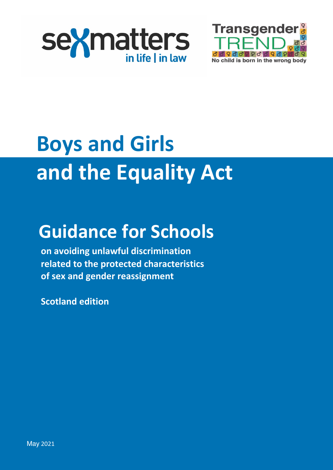



# **Boys and Girls and the Equality Act**

# **Guidance for Schools**

**on avoiding unlawful discrimination related to the protected characteristics of sex and gender reassignment**

**Scotland edition**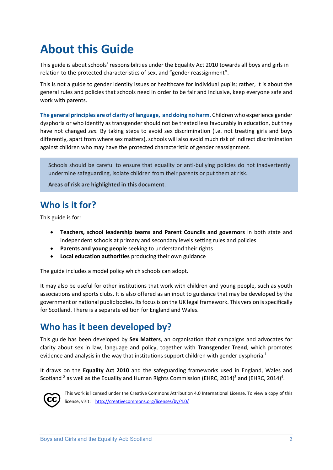## **About this Guide**

This guide is about schools' responsibilities under the Equality Act 2010 towards all boys and girls in relation to the protected characteristics of sex, and "gender reassignment".

This is not a guide to gender identity issues or healthcare for individual pupils; rather, it is about the general rules and policies that schools need in order to be fair and inclusive, keep everyone safe and work with parents.

**The general principles are of clarity of language, and doing no harm.** Children who experience gender dysphoria or who identify as transgender should not be treated less favourably in education, but they have not changed *sex.* By taking steps to avoid sex discrimination (i.e. not treating girls and boys differently, apart from where sex matters), schools will also avoid much risk of indirect discrimination against children who may have the protected characteristic of gender reassignment.

Schools should be careful to ensure that equality or anti-bullying policies do not inadvertently undermine safeguarding, isolate children from their parents or put them at risk.

**Areas of risk are highlighted in this document**.

## **Who is it for?**

This guide is for:

- **Teachers, school leadership teams and Parent Councils and governors** in both state and independent schools at primary and secondary levels setting rules and policies
- **Parents and young people** seeking to understand their rights
- **Local education authorities** producing their own guidance

The guide includes a model policy which schools can adopt.

It may also be useful for other institutions that work with children and young people, such as youth associations and sports clubs. It is also offered as an input to guidance that may be developed by the government or national public bodies. Its focus is on the UK legal framework. This version is specifically for Scotland. There is a separate edition for England and Wales.

## **Who has it been developed by?**

This guide has been developed by **Sex Matters**, an organisation that campaigns and advocates for clarity about sex in law, language and policy, together with **Transgender Trend**, which promotes evidence and analysis in the way that institutions support children with gender dysphoria.<sup>1</sup>

It draws on the **Equality Act 2010** and the safeguarding frameworks used in England, Wales and Scotland <sup>2</sup> as well as the Equality and Human Rights Commission (EHRC, 2014)<sup>3</sup> and (EHRC, 2014)<sup>4</sup>.



This work is licensed under the Creative Commons Attribution 4.0 International License. To view a copy of this license, visit: http://creativecommons.org/licenses/by/4.0/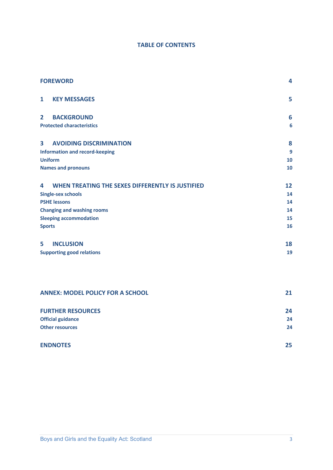#### **TABLE OF CONTENTS**

| <b>FOREWORD</b>                                           | 4            |
|-----------------------------------------------------------|--------------|
| <b>KEY MESSAGES</b><br>1                                  | 5            |
| <b>BACKGROUND</b><br>$\overline{2}$                       | 6            |
| <b>Protected characteristics</b>                          | 6            |
| $\overline{\mathbf{3}}$<br><b>AVOIDING DISCRIMINATION</b> | 8            |
| <b>Information and record-keeping</b>                     | 9            |
| <b>Uniform</b>                                            | 10           |
| <b>Names and pronouns</b>                                 | 10           |
| WHEN TREATING THE SEXES DIFFERENTLY IS JUSTIFIED<br>4     | 12           |
| <b>Single-sex schools</b>                                 | 14           |
| <b>PSHE lessons</b>                                       | 14           |
| <b>Changing and washing rooms</b>                         | 14           |
| <b>Sleeping accommodation</b>                             | 15           |
| <b>Sports</b>                                             | 16           |
| 5<br><b>INCLUSION</b>                                     | 18           |
| <b>Supporting good relations</b>                          | 19           |
|                                                           |              |
| <b>ANNEX: MODEL POLICY FOR A SCHOOL</b>                   | 21           |
| <b>ELIDTUED DECALIDAES</b>                                | $\mathbf{a}$ |

| <b>FURTHER RESOURCES</b> | 24 |
|--------------------------|----|
| <b>Official guidance</b> | 24 |
| <b>Other resources</b>   | 24 |
|                          |    |

| <b>ENDNOTES</b> | 25 |
|-----------------|----|
|                 |    |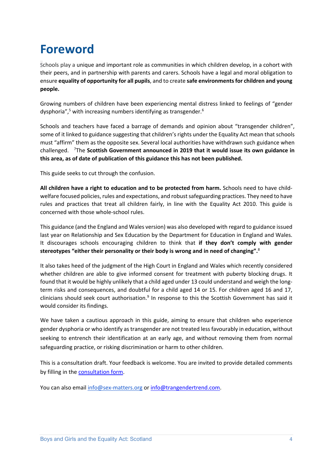## **Foreword**

Schools play a unique and important role as communities in which children develop, in a cohort with their peers, and in partnership with parents and carers. Schools have a legal and moral obligation to ensure **equality of opportunity for all pupils**, and to create **safe environments for children and young people.**

Growing numbers of children have been experiencing mental distress linked to feelings of "gender dysphoria",<sup>5</sup> with increasing numbers identifying as transgender.<sup>6</sup>

Schools and teachers have faced a barrage of demands and opinion about "transgender children", some of it linked to guidance suggesting that children's rights under the Equality Act mean that schools must "affirm" them as the opposite sex. Several local authorities have withdrawn such guidance when  $\alpha$  ballenged. <sup>7</sup>The Scottish Government announced in 2019 that it would issue its own guidance in *bhis area, as of date of publication of this guidance this has not been published.* 

This guide seeks to cut through the confusion.

**All children have a right to education and to be protected from harm.** Schools need to have childwelfare focused policies, rules and expectations, and robust safeguarding practices. They need to have rules and practices that treat all children fairly, in line with the Equality Act 2010. This guide is concerned with those whole-school rules.

This guidance (and the England and Wales version) was also developed with regard to guidance issued last year on Relationship and Sex Education by the Department for Education in England and Wales. It discourages schools encouraging children to think that **if they don't comply with gender stereotypes "either their personality or their body is wrong and in need of changing".**<sup>8</sup>

It also takes heed of the judgment of the High Court in England and Wales which recently considered whether children are able to give informed consent for treatment with puberty blocking drugs. It found that it would be highly unlikely that a child aged under 13 could understand and weigh the longterm risks and consequences, and doubtful for a child aged 14 or 15. For children aged 16 and 17, clinicians should seek court authorisation.<sup>9</sup> In response to this the Scottish Government has said it would consider its findings.

We have taken a cautious approach in this guide, aiming to ensure that children who experience gender dysphoria or who identify as transgender are not treated less favourably in education, without seeking to entrench their identification at an early age, and without removing them from normal safeguarding practice, or risking discrimination or harm to other children.

This is a consultation draft. Your feedback is welcome. You are invited to provide detailed comments by filling in the [consultation form.](https://forms.gle/NwFZhaFFQZMDxNcGA) 

You can also email info@sex-matters.org or info@trangendertrend.com.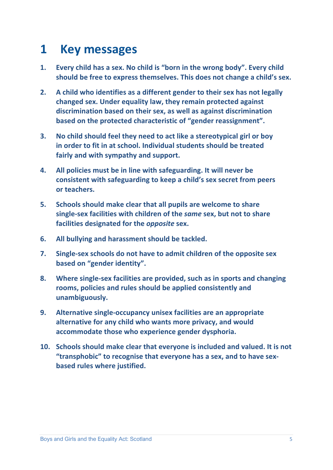## **1 Key messages**

- **1. Every child has a sex. No child is "born in the wrong body". Every child should be free to express themselves. This does not change a child's sex.**
- **2. A child who identifies as a different gender to their sex has not legally changed sex. Under equality law, they remain protected against discrimination based on their sex, as well as against discrimination based on the protected characteristic of "gender reassignment".**
- **3. No child should feel they need to act like a stereotypical girl or boy in order to fit in at school. Individual students should be treated fairly and with sympathy and support.**
- **4. All policies must be in line with safeguarding. It will never be consistent with safeguarding to keep a child's sex secret from peers or teachers.**
- **5. Schools should make clear that all pupils are welcome to share single-sex facilities with children of the** *same* **sex, but not to share facilities designated for the** *opposite* **sex.**
- **6. All bullying and harassment should be tackled.**
- **7. Single-sex schools do not have to admit children of the opposite sex based on "gender identity".**
- **8. Where single-sex facilities are provided, such as in sports and changing rooms, policies and rules should be applied consistently and unambiguously.**
- **9. Alternative single-occupancy unisex facilities are an appropriate alternative for any child who wants more privacy, and would accommodate those who experience gender dysphoria.**
- **10. Schools should make clear that everyone is included and valued. It is not "transphobic" to recognise that everyone has a sex, and to have sexbased rules where justified.**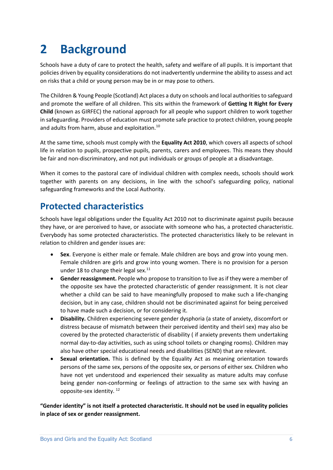## **2 Background**

Schools have a duty of care to protect the health, safety and welfare of all pupils. It is important that policies driven by equality considerations do not inadvertently undermine the ability to assess and act on risks that a child or young person may be in or may pose to others.

The Children & Young People (Scotland) Act places a duty on schools and local authorities to safeguard and promote the welfare of all children. This sits within the framework of **Getting It Right for Every Child** (known as GIRFEC) the national approach for all people who support children to work together in safeguarding. Providers of education must promote safe practice to protect children, young people and adults from harm, abuse and exploitation.<sup>10</sup>

At the same time, schools must comply with the **Equality Act 2010**, which covers all aspects of school life in relation to pupils, prospective pupils, parents, carers and employees. This means they should be fair and non-discriminatory, and not put individuals or groups of people at a disadvantage.

When it comes to the pastoral care of individual children with complex needs, schools should work together with parents on any decisions, in line with the school's safeguarding policy, national safeguarding frameworks and the Local Authority.

## **Protected characteristics**

Schools have legal obligations under the Equality Act 2010 not to discriminate against pupils because they have, or are perceived to have, or associate with someone who has, a protected characteristic. Everybody has some protected characteristics. The protected characteristics likely to be relevant in relation to children and gender issues are:

- **Sex**. Everyone is either male or female. Male children are boys and grow into young men. Female children are girls and grow into young women. There is no provision for a person under 18 to change their legal sex. $^{11}$
- **Gender reassignment.** People who propose to transition to live as if they were a member of the opposite sex have the protected characteristic of gender reassignment. It is not clear whether a child can be said to have meaningfully proposed to make such a life-changing decision, but in any case, children should not be discriminated against for being perceived to have made such a decision, or for considering it.
- **Disability.** Children experiencing severe gender dysphoria (a state of anxiety, discomfort or distress because of mismatch between their perceived identity and theirl sex) may also be covered by the protected characteristic of disability ( if anxiety prevents them undertaking normal day-to-day activities, such as using school toilets or changing rooms). Children may also have other special educational needs and disabilities (SEND) that are relevant.
- **Sexual orientation.** This is defined by the Equality Act as meaning orientation towards persons of the same sex, persons of the opposite sex, or persons of either sex. Children who have not yet understood and experienced their sexuality as mature adults may confuse being gender non-conforming or feelings of attraction to the same sex with having an opposite-sex identity. 12

**"Gender identity" is not itself a protected characteristic. It should not be used in equality policies in place of sex or gender reassignment.**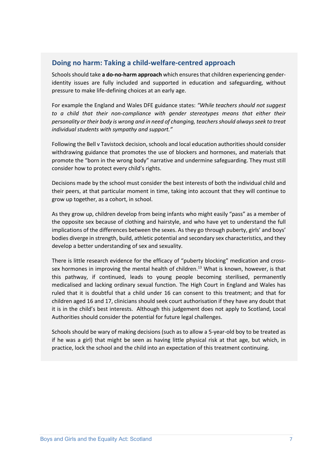### **Doing no harm: Taking a child-welfare-centred approach**

Schools should take **a do-no-harm approach** which ensures that children experiencing genderidentity issues are fully included and supported in education and safeguarding, without pressure to make life-defining choices at an early age.

For example the England and Wales DFE guidance states: *"While teachers should not suggest to a child that their non-compliance with gender stereotypes means that either their personality or their body is wrong and in need of changing, teachers should always seek to treat individual students with sympathy and support."*

Following the Bell v Tavistock decision, schools and local education authorities should consider withdrawing guidance that promotes the use of blockers and hormones, and materials that promote the "born in the wrong body" narrative and undermine safeguarding. They must still consider how to protect every child's rights.

Decisions made by the school must consider the best interests of both the individual child and their peers, at that particular moment in time, taking into account that they will continue to grow up together, as a cohort, in school.

As they grow up, children develop from being infants who might easily "pass" as a member of the opposite sex because of clothing and hairstyle, and who have yet to understand the full implications of the differences between the sexes. As they go through puberty, girls' and boys' bodies diverge in strength, build, athletic potential and secondary sex characteristics, and they develop a better understanding of sex and sexuality.

There is little research evidence for the efficacy of "puberty blocking" medication and crosssex hormones in improving the mental health of children.<sup>13</sup> What is known, however, is that this pathway, if continued, leads to young people becoming sterilised, permanently medicalised and lacking ordinary sexual function. The High Court in England and Wales has ruled that it is doubtful that a child under 16 can consent to this treatment; and that for children aged 16 and 17, clinicians should seek court authorisation if they have any doubt that it is in the child's best interests. Although this judgement does not apply to Scotland, Local Authorities should consider the potential for future legal challenges.

Schools should be wary of making decisions (such as to allow a 5-year-old boy to be treated as if he was a girl) that might be seen as having little physical risk at that age, but which, in practice, lock the school and the child into an expectation of this treatment continuing.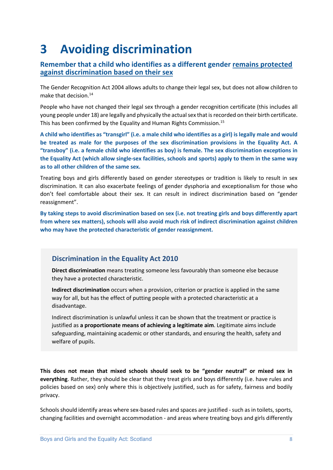## **3 Avoiding discrimination**

### **Remember that a child who identifies as a different gender remains protected against discrimination based on their sex**

The Gender Recognition Act 2004 allows adults to change their legal sex, but does not allow children to make that decision. $14$ 

People who have not changed their legal sex through a gender recognition certificate (this includes all young people under 18) are legally and physically the actual sex that is recorded on their birth certificate. This has been confirmed by the Equality and Human Rights Commission.15

**A child who identifies as "transgirl" (i.e. a male child who identifies as a girl) is legally male and would be treated as male for the purposes of the sex discrimination provisions in the Equality Act. A "transboy" (i.e. a female child who identifies as boy) is female. The sex discrimination exceptions in the Equality Act (which allow single-sex facilities, schools and sports) apply to them in the same way as to all other children of the same sex.**

Treating boys and girls differently based on gender stereotypes or tradition is likely to result in sex discrimination. It can also exacerbate feelings of gender dysphoria and exceptionalism for those who don't feel comfortable about their sex. It can result in indirect discrimination based on "gender reassignment".

**By taking steps to avoid discrimination based on sex (i.e. not treating girls and boys differently apart from where sex matters), schools will also avoid much risk of indirect discrimination against children who may have the protected characteristic of gender reassignment.**

### **Discrimination in the Equality Act 2010**

**Direct discrimination** means treating someone less favourably than someone else because they have a protected characteristic.

**Indirect discrimination** occurs when a provision, criterion or practice is applied in the same way for all, but has the effect of putting people with a protected characteristic at a disadvantage.

Indirect discrimination is unlawful unless it can be shown that the treatment or practice is justified as **a proportionate means of achieving a legitimate aim**. Legitimate aims include safeguarding, maintaining academic or other standards, and ensuring the health, safety and welfare of pupils.

**This does not mean that mixed schools should seek to be "gender neutral" or mixed sex in everything**. Rather, they should be clear that they treat girls and boys differently (i.e. have rules and policies based on sex) only where this is objectively justified, such as for safety, fairness and bodily privacy.

Schools should identify areas where sex-based rules and spaces are justified - such as in toilets, sports, changing facilities and overnight accommodation - and areas where treating boys and girls differently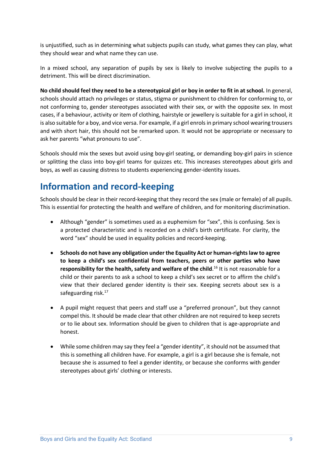is unjustified, such as in determining what subjects pupils can study, what games they can play, what they should wear and what name they can use.

In a mixed school, any separation of pupils by sex is likely to involve subjecting the pupils to a detriment. This will be direct discrimination.

**No child should feel they need to be a stereotypical girl or boy in order to fit in at school.** In general, schools should attach no privileges or status, stigma or punishment to children for conforming to, or not conforming to, gender stereotypes associated with their sex, or with the opposite sex. In most cases, if a behaviour, activity or item of clothing, hairstyle or jewellery is suitable for a girl in school, it is also suitable for a boy, and vice versa. For example, if a girl enrolsin primary school wearing trousers and with short hair, this should not be remarked upon. It would not be appropriate or necessary to ask her parents "what pronouns to use".

Schools should mix the sexes but avoid using boy-girl seating, or demanding boy-girl pairs in science or splitting the class into boy-girl teams for quizzes etc. This increases stereotypes about girls and boys, as well as causing distress to students experiencing gender-identity issues.

## **Information and record-keeping**

Schools should be clear in their record-keeping that they record the sex (male or female) of all pupils. This is essential for protecting the health and welfare of children, and for monitoring discrimination.

- Although "gender" is sometimes used as a euphemism for "sex", this is confusing. Sex is a protected characteristic and is recorded on a child's birth certificate. For clarity, the word "sex" should be used in equality policies and record-keeping.
- **Schools do not have any obligation under the Equality Act or human-rights law to agree to keep a child's sex confidential from teachers, peers or other parties who have**  responsibility for the health, safety and welfare of the child.<sup>16</sup> It is not reasonable for a child or their parents to ask a school to keep a child's sex secret or to affirm the child's view that their declared gender identity is their sex. Keeping secrets about sex is a safeguarding risk.<sup>17</sup>
- A pupil might request that peers and staff use a "preferred pronoun", but they cannot compel this. It should be made clear that other children are not required to keep secrets or to lie about sex. Information should be given to children that is age-appropriate and honest.
- While some children may say they feel a "gender identity", it should not be assumed that this is something all children have. For example, a girl is a girl because she is female, not because she is assumed to feel a gender identity, or because she conforms with gender stereotypes about girls' clothing or interests.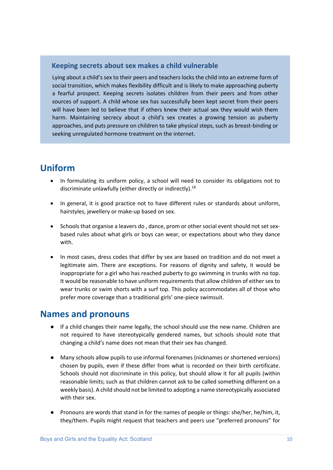### **Keeping secrets about sex makes a child vulnerable**

Lying about a child's sex to their peers and teachers locks the child into an extreme form of social transition, which makes flexibility difficult and is likely to make approaching puberty a fearful prospect. Keeping secrets isolates children from their peers and from other sources of support. A child whose sex has successfully been kept secret from their peers will have been led to believe that if others knew their actual sex they would wish them harm. Maintaining secrecy about a child's sex creates a growing tension as puberty approaches, and puts pressure on children to take physical steps, such as breast-binding or seeking unregulated hormone treatment on the internet.

## **Uniform**

- In formulating its uniform policy, a school will need to consider its obligations not to discriminate unlawfully (either directly or indirectly).<sup>18</sup>
- In general, it is good practice not to have different rules or standards about uniform, hairstyles, jewellery or make-up based on sex.
- Schools that organise a leavers do , dance, prom or other social event should not set sexbased rules about what girls or boys can wear, or expectations about who they dance with.
- In most cases, dress codes that differ by sex are based on tradition and do not meet a legitimate aim. There are exceptions. For reasons of dignity and safety, it would be inappropriate for a girl who has reached puberty to go swimming in trunks with no top. It would be reasonable to have uniform requirements that allow children of either sex to wear trunks or swim shorts with a surf top. This policy accommodates all of those who prefer more coverage than a traditional girls' one-piece swimsuit.

## **Names and pronouns**

- If a child changes their name legally, the school should use the new name. Children are not required to have stereotypically gendered names, but schools should note that changing a child's name does not mean that their sex has changed.
- Many schools allow pupils to use informal forenames (nicknames or shortened versions) chosen by pupils, even if these differ from what is recorded on their birth certificate. Schools should not discriminate in this policy, but should allow it for all pupils (within reasonable limits; such as that children cannot ask to be called something different on a weekly basis). A child should not be limited to adopting a name stereotypically associated with their sex.
- Pronouns are words that stand in for the names of people or things: she/her, he/him, it, they/them. Pupils might request that teachers and peers use "preferred pronouns" for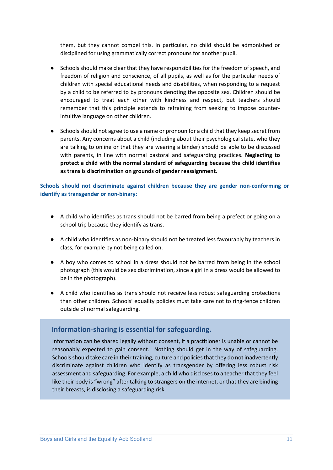them, but they cannot compel this. In particular, no child should be admonished or disciplined for using grammatically correct pronouns for another pupil.

- Schools should make clear that they have responsibilities for the freedom of speech, and freedom of religion and conscience, of all pupils, as well as for the particular needs of children with special educational needs and disabilities, when responding to a request by a child to be referred to by pronouns denoting the opposite sex. Children should be encouraged to treat each other with kindness and respect, but teachers should remember that this principle extends to refraining from seeking to impose counterintuitive language on other children.
- Schools should not agree to use a name or pronoun for a child that they keep secret from parents. Any concerns about a child (including about their psychological state, who they are talking to online or that they are wearing a binder) should be able to be discussed with parents, in line with normal pastoral and safeguarding practices. **Neglecting to protect a child with the normal standard of safeguarding because the child identifies as trans is discrimination on grounds of gender reassignment.**

#### **Schools should not discriminate against children because they are gender non-conforming or identify as transgender or non-binary:**

- A child who identifies as trans should not be barred from being a prefect or going on a school trip because they identify as trans.
- A child who identifies as non-binary should not be treated less favourably by teachers in class, for example by not being called on.
- A boy who comes to school in a dress should not be barred from being in the school photograph (this would be sex discrimination, since a girl in a dress would be allowed to be in the photograph).
- A child who identifies as trans should not receive less robust safeguarding protections than other children. Schools' equality policies must take care not to ring-fence children outside of normal safeguarding.

### **Information-sharing is essential for safeguarding.**

Information can be shared legally without consent, if a practitioner is unable or cannot be reasonably expected to gain consent. Nothing should get in the way of safeguarding. Schools should take care in their training, culture and policies that they do not inadvertently discriminate against children who identify as transgender by offering less robust risk assessment and safeguarding. For example, a child who discloses to a teacher that they feel like their body is "wrong" after talking to strangers on the internet, or that they are binding their breasts, is disclosing a safeguarding risk.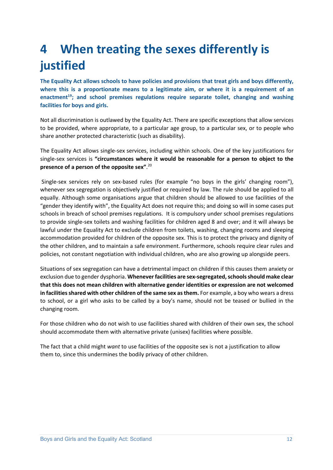## **4 When treating the sexes differently is justified**

**The Equality Act allows schools to have policies and provisions that treat girls and boys differently, where this is a proportionate means to a legitimate aim, or where it is a requirement of an enactment19; and school premises regulations require separate toilet, changing and washing facilities for boys and girls.**

Not all discrimination is outlawed by the Equality Act. There are specific exceptions that allow services to be provided, where appropriate, to a particular age group, to a particular sex, or to people who share another protected characteristic (such as disability).

The Equality Act allows single-sex services, including within schools. One of the key justifications for single-sex services is **"circumstances where it would be reasonable for a person to object to the presence of a person of the opposite sex"**. 20

Single-sex services rely on sex-based rules (for example "no boys in the girls' changing room"), whenever sex segregation is objectively justified or required by law. The rule should be applied to all equally. Although some organisations argue that children should be allowed to use facilities of the "gender they identify with", the Equality Act does not require this; and doing so will in some cases put schools in breach of school premises regulations. It is compulsory under school premises regulations to provide single-sex toilets and washing facilities for children aged 8 and over; and it will always be lawful under the Equality Act to exclude children from toilets, washing, changing rooms and sleeping accommodation provided for children of the opposite sex. This is to protect the privacy and dignity of the other children, and to maintain a safe environment. Furthermore, schools require clear rules and policies, not constant negotiation with individual children, who are also growing up alongside peers.

Situations of sex segregation can have a detrimental impact on children if this causes them anxiety or exclusion due to gender dysphoria. **Whenever facilities are sex-segregated, schools should make clear that this does not mean children with alternative gender identities or expression are not welcomed in facilities shared with other children of the same sex as them.** For example, a boy who wears a dress to school, or a girl who asks to be called by a boy's name, should not be teased or bullied in the changing room.

For those children who do not wish to use facilities shared with children of their own sex, the school should accommodate them with alternative private (unisex) facilities where possible.

The fact that a child might *want* to use facilities of the opposite sex is not a justification to allow them to, since this undermines the bodily privacy of other children.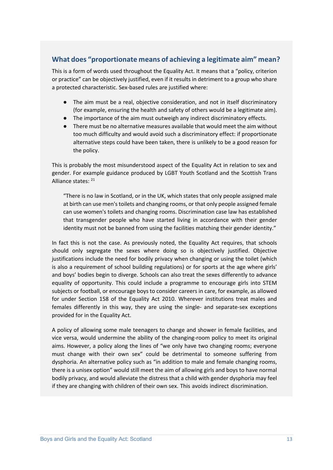### **What does "proportionate means of achieving a legitimate aim" mean?**

This is a form of words used throughout the Equality Act. It means that a "policy, criterion or practice" can be objectively justified, even if it results in detriment to a group who share a protected characteristic. Sex-based rules are justified where:

- The aim must be a real, objective consideration, and not in itself discriminatory (for example, ensuring the health and safety of others would be a legitimate aim).
- The importance of the aim must outweigh any indirect discriminatory effects.
- There must be no alternative measures available that would meet the aim without too much difficulty and would avoid such a discriminatory effect: if proportionate alternative steps could have been taken, there is unlikely to be a good reason for the policy.

This is probably the most misunderstood aspect of the Equality Act in relation to sex and gender. For example guidance produced by LGBT Youth Scotland and the Scottish Trans Alliance states: 21

"There is no law in Scotland, or in the UK, which states that only people assigned male at birth can use men's toilets and changing rooms, or that only people assigned female can use women's toilets and changing rooms. Discrimination case law has established that transgender people who have started living in accordance with their gender identity must not be banned from using the facilities matching their gender identity."

In fact this is not the case. As previously noted, the Equality Act requires, that schools should only segregate the sexes where doing so is objectively justified. Objective justifications include the need for bodily privacy when changing or using the toilet (which is also a requirement of school building regulations) or for sports at the age where girls' and boys' bodies begin to diverge. Schools can also treat the sexes differently to advance equality of opportunity. This could include a programme to encourage girls into STEM subjects or football, or encourage boys to consider careers in care, for example, as allowed for under Section 158 of the Equality Act 2010. Wherever institutions treat males and females differently in this way, they are using the single- and separate-sex exceptions provided for in the Equality Act.

A policy of allowing some male teenagers to change and shower in female facilities, and vice versa, would undermine the ability of the changing-room policy to meet its original aims. However, a policy along the lines of "we only have two changing rooms; everyone must change with their own sex" could be detrimental to someone suffering from dysphoria. An alternative policy such as "in addition to male and female changing rooms, there is a unisex option" would still meet the aim of allowing girls and boys to have normal bodily privacy, and would alleviate the distress that a child with gender dysphoria may feel if they are changing with children of their own sex. This avoids indirect discrimination.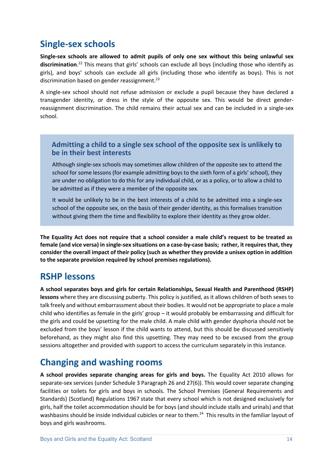## **Single-sex schools**

**Single-sex schools are allowed to admit pupils of only one sex without this being unlawful sex**  discrimination.<sup>22</sup> This means that girls' schools can exclude all boys (including those who identify as girls), and boys' schools can exclude all girls (including those who identify as boys). This is not discrimination based on gender reassignment. $^{23}$ 

A single-sex school should not refuse admission or exclude a pupil because they have declared a transgender identity, or dress in the style of the opposite sex. This would be direct genderreassignment discrimination. The child remains their actual sex and can be included in a single-sex school.

### **Admitting a child to a single sex school of the opposite sex is unlikely to be in their best interests**

Although single-sex schools may sometimes allow children of the opposite sex to attend the school for some lessons (for example admitting boys to the sixth form of a girls' school), they are under no obligation to do this for any individual child, or as a policy, or to allow a child to be admitted as if they were a member of the opposite sex.

It would be unlikely to be in the best interests of a child to be admitted into a single-sex school of the opposite sex, on the basis of their gender identity, as this formalises transition without giving them the time and flexibility to explore their identity as they grow older.

**The Equality Act does not require that a school consider a male child's request to be treated as female (and vice versa) in single-sex situations on a case-by-case basis; rather, it requires that, they consider the overall impact of their policy (such as whether they provide a unisex option in addition to the separate provision required by school premises regulations).** 

## **RSHP lessons**

**A school separates boys and girls for certain Relationships, Sexual Health and Parenthood (RSHP) lessons** where they are discussing puberty. This policy is justified, as it allows children of both sexes to talk freely and without embarrassment about their bodies. It would not be appropriate to place a male child who identifies as female in the girls' group – it would probably be embarrassing and difficult for the girls and could be upsetting for the male child. A male child with gender dysphoria should not be excluded from the boys' lesson if the child wants to attend, but this should be discussed sensitively beforehand, as they might also find this upsetting. They may need to be excused from the group sessions altogether and provided with support to access the curriculum separately in this instance.

## **Changing and washing rooms**

**A school provides separate changing areas for girls and boys.** The Equality Act 2010 allows for separate-sex services (under Schedule 3 Paragraph 26 and 27(6)). This would cover separate changing facilities or toilets for girls and boys in schools. The School Premises (General Requirements and Standards) (Scotland) Regulations 1967 state that every school which is not designed exclusively for girls, half the toilet accommodation should be for boys (and should include stalls and urinals) and that washbasins should be inside individual cubicles or near to them.<sup>24</sup> This results in the familiar layout of boys and girls washrooms.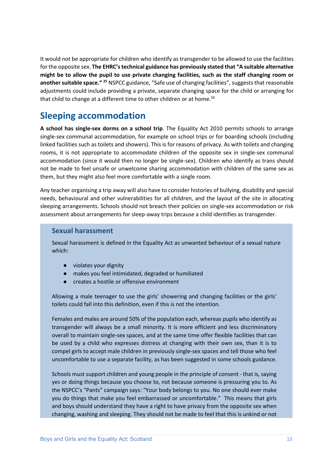It would not be appropriate for children who identify as transgender to be allowed to use the facilities for the opposite sex. **The EHRC's technical guidance has previously stated that "A suitable alternative might be to allow the pupil to use private changing facilities, such as the staff changing room or another suitable space." 25** NSPCC guidance, "Safe use of changing facilities", suggests that reasonable adjustments could include providing a private, separate changing space for the child or arranging for that child to change at a different time to other children or at home.<sup>26</sup>

## **Sleeping accommodation**

**A school has single-sex dorms on a school trip**. The Equality Act 2010 permits schools to arrange single-sex communal accommodation, for example on school trips or for boarding schools (including linked facilities such as toilets and showers). This is for reasons of privacy. As with toilets and changing rooms, it is not appropriate to accommodate children of the opposite sex in single-sex communal accommodation (since it would then no longer be single-sex). Children who identify as trans should not be made to feel unsafe or unwelcome sharing accommodation with children of the same sex as them, but they might also feel more comfortable with a single room.

Any teacher organising a trip away will also have to consider histories of bullying, disability and special needs, behavioural and other vulnerabilities for all children, and the layout of the site in allocating sleeping arrangements. Schools should not breach their policies on single-sex accommodation or risk assessment about arrangements for sleep-away trips because a child identifies as transgender.

### **Sexual harassment**

Sexual harassment is defined in the Equality Act as unwanted behaviour of a sexual nature which:

- violates your dignity
- makes you feel intimidated, degraded or humiliated
- creates a hostile or offensive environment

Allowing a male teenager to use the girls' showering and changing facilities or the girls' toilets could fall into this definition, even if this is not the intention.

Females and males are around 50% of the population each, whereas pupils who identify as transgender will always be a small minority. It is more efficient and less discriminatory overall to maintain single-sex spaces, and at the same time offer flexible facilities that can be used by a child who expresses distress at changing with their own sex, than it is to compel girls to accept male children in previously single-sex spaces and tell those who feel uncomfortable to use a separate facility, as has been suggested in some schools guidance.

Schools must support children and young people in the principle of consent - that is, saying yes or doing things because you choose to, not because someone is pressuring you to. As the NSPCC's "Pants" campaign says: "Your body belongs to you. No one should ever make you do things that make you feel embarrassed or uncomfortable." This means that girls and boys should understand they have a right to have privacy from the opposite sex when changing, washing and sleeping. They should not be made to feel that this is unkind or not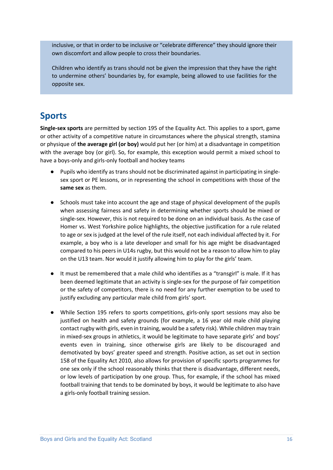inclusive, or that in order to be inclusive or "celebrate difference" they should ignore their own discomfort and allow people to cross their boundaries.

Children who identify as trans should not be given the impression that they have the right to undermine others' boundaries by, for example, being allowed to use facilities for the opposite sex.

## **Sports**

**Single-sex sports** are permitted by section 195 of the Equality Act. This applies to a sport, game or other activity of a competitive nature in circumstances where the physical strength, stamina or physique of **the average girl (or boy)** would put her (or him) at a disadvantage in competition with the average boy (or girl). So, for example, this exception would permit a mixed school to have a boys-only and girls-only football and hockey teams

- Pupils who identify as trans should not be discriminated against in participating in singlesex sport or PE lessons, or in representing the school in competitions with those of the **same sex** as them.
- Schools must take into account the age and stage of physical development of the pupils when assessing fairness and safety in determining whether sports should be mixed or single-sex. However, this is not required to be done on an individual basis. As the case of Homer vs. West Yorkshire police highlights, the objective justification for a rule related to age or sex is judged at the level of the rule itself, not each individual affected by it. For example, a boy who is a late developer and small for his age might be disadvantaged compared to his peers in U14s rugby, but this would not be a reason to allow him to play on the U13 team. Nor would it justify allowing him to play for the girls' team.
- It must be remembered that a male child who identifies as a "transgirl" is male. If it has been deemed legitimate that an activity is single-sex for the purpose of fair competition or the safety of competitors, there is no need for any further exemption to be used to justify excluding any particular male child from girls' sport.
- While Section 195 refers to sports competitions, girls-only sport sessions may also be justified on health and safety grounds (for example, a 16 year old male child playing contact rugby with girls, even in training, would be a safety risk). While children may train in mixed-sex groups in athletics, it would be legitimate to have separate girls' and boys' events even in training, since otherwise girls are likely to be discouraged and demotivated by boys' greater speed and strength. Positive action, as set out in section 158 of the Equality Act 2010, also allows for provision of specific sports programmes for one sex only if the school reasonably thinks that there is disadvantage, different needs, or low levels of participation by one group. Thus, for example, if the school has mixed football training that tends to be dominated by boys, it would be legitimate to also have a girls-only football training session.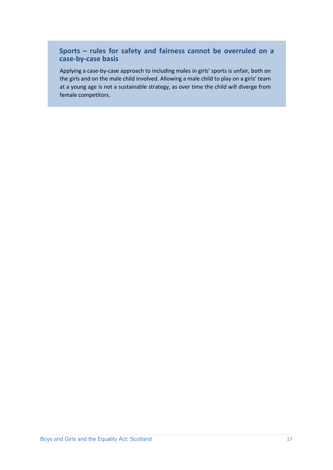### **Sports – rules for safety and fairness cannot be overruled on a case-by-case basis**

Applying a case-by-case approach to including males in girls' sports is unfair, both on the girls and on the male child involved. Allowing a male child to play on a girls' team at a young age is not a sustainable strategy, as over time the child will diverge from female competitors.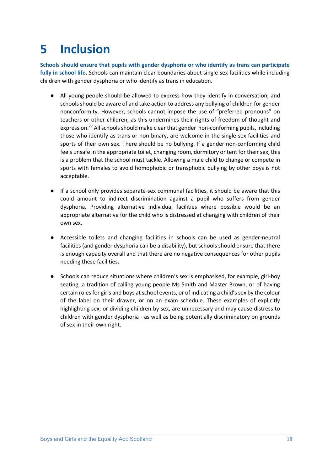## **5 Inclusion**

**Schools should ensure that pupils with gender dysphoria or who identify as trans can participate fully in school life.** Schools can maintain clear boundaries about single-sex facilities while including children with gender dysphoria or who identify as trans in education.

- All young people should be allowed to express how they identify in conversation, and schools should be aware of and take action to address any bullying of children for gender nonconformity. However, schools cannot impose the use of "preferred pronouns" on teachers or other children, as this undermines their rights of freedom of thought and expression.<sup>27</sup> All schools should make clear that gender non-conforming pupils, including those who identify as trans or non-binary, are welcome in the single-sex facilities and sports of their own sex. There should be no bullying. If a gender non-conforming child feels unsafe in the appropriate toilet, changing room, dormitory or tent for their sex, this is a problem that the school must tackle. Allowing a male child to change or compete in sports with females to avoid homophobic or transphobic bullying by other boys is not acceptable.
- If a school only provides separate-sex communal facilities, it should be aware that this could amount to indirect discrimination against a pupil who suffers from gender dysphoria. Providing alternative individual facilities where possible would be an appropriate alternative for the child who is distressed at changing with children of their own sex.
- Accessible toilets and changing facilities in schools can be used as gender-neutral facilities (and gender dysphoria can be a disability), but schools should ensure that there is enough capacity overall and that there are no negative consequences for other pupils needing these facilities.
- Schools can reduce situations where children's sex is emphasised, for example, girl-boy seating, a tradition of calling young people Ms Smith and Master Brown, or of having certain roles for girls and boys at school events, or of indicating a child's sex by the colour of the label on their drawer, or on an exam schedule. These examples of explicitly highlighting sex, or dividing children by sex, are unnecessary and may cause distress to children with gender dysphoria - as well as being potentially discriminatory on grounds of sex in their own right.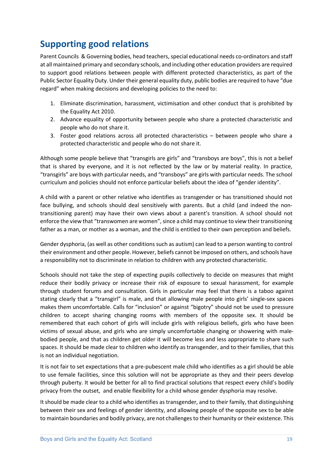## **Supporting good relations**

Parent Councils & Governing bodies, head teachers, special educational needs co-ordinators and staff at all maintained primary and secondary schools, and including other education providers are required to support good relations between people with different protected characteristics, as part of the Public Sector Equality Duty. Under their general equality duty, public bodies are required to have "due regard" when making decisions and developing policies to the need to:

- 1. Eliminate discrimination, harassment, victimisation and other conduct that is prohibited by the Equality Act 2010.
- 2. Advance equality of opportunity between people who share a protected characteristic and people who do not share it.
- 3. Foster good relations across all protected characteristics between people who share a protected characteristic and people who do not share it.

Although some people believe that "transgirls are girls" and "transboys are boys", this is not a belief that is shared by everyone, and it is not reflected by the law or by material reality. In practice, "transgirls" are boys with particular needs, and "transboys" are girls with particular needs. The school curriculum and policies should not enforce particular beliefs about the idea of "gender identity".

A child with a parent or other relative who identifies as transgender or has transitioned should not face bullying, and schools should deal sensitively with parents. But a child (and indeed the nontransitioning parent) may have their own views about a parent's transition. A school should not enforce the view that "transwomen are women", since a child may continue to view their transitioning father as a man, or mother as a woman, and the child is entitled to their own perception and beliefs.

Gender dysphoria, (as well as other conditions such as autism) can lead to a person wanting to control their environment and other people. However, beliefs cannot be imposed on others, and schools have a responsibility not to discriminate in relation to children with any protected characteristic.

Schools should not take the step of expecting pupils collectively to decide on measures that might reduce their bodily privacy or increase their risk of exposure to sexual harassment, for example through student forums and consultation. Girls in particular may feel that there is a taboo against stating clearly that a "transgirl" is male, and that allowing male people into girls' single-sex spaces makes them uncomfortable. Calls for "inclusion" or against "bigotry" should not be used to pressure children to accept sharing changing rooms with members of the opposite sex. It should be remembered that each cohort of girls will include girls with religious beliefs, girls who have been victims of sexual abuse, and girls who are simply uncomfortable changing or showering with malebodied people, and that as children get older it will become less and less appropriate to share such spaces. It should be made clear to children who identify as transgender, and to their families, that this is not an individual negotiation.

It is not fair to set expectations that a pre-pubescent male child who identifies as a girl should be able to use female facilities, since this solution will not be appropriate as they and their peers develop through puberty. It would be better for all to find practical solutions that respect every child's bodily privacy from the outset, and enable flexibility for a child whose gender dysphoria may resolve.

It should be made clear to a child who identifies as transgender, and to their family, that distinguishing between their sex and feelings of gender identity, and allowing people of the opposite sex to be able to maintain boundaries and bodily privacy, are not challenges to their humanity or their existence. This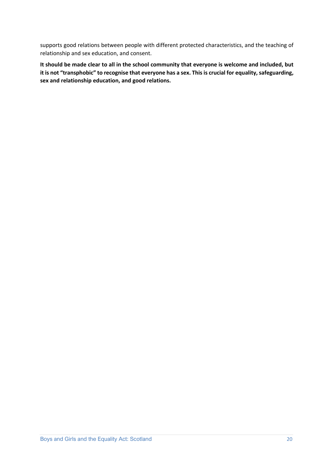supports good relations between people with different protected characteristics, and the teaching of relationship and sex education, and consent.

**It should be made clear to all in the school community that everyone is welcome and included, but it is not "transphobic" to recognise that everyone has a sex. This is crucial for equality, safeguarding, sex and relationship education, and good relations.**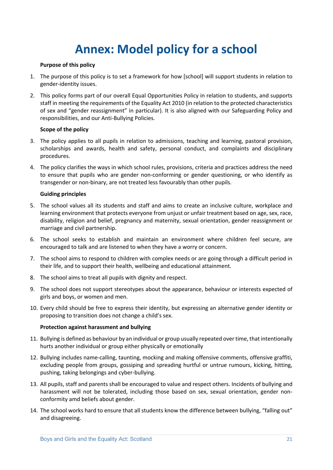## **Annex: Model policy for a school**

#### **Purpose of this policy**

- 1. The purpose of this policy is to set a framework for how [school] will support students in relation to gender-identity issues.
- 2. This policy forms part of our overall Equal Opportunities Policy in relation to students, and supports staff in meeting the requirements of the Equality Act 2010 (in relation to the protected characteristics of sex and "gender reassignment" in particular). It is also aligned with our Safeguarding Policy and responsibilities, and our Anti-Bullying Policies.

#### **Scope of the policy**

- 3. The policy applies to all pupils in relation to admissions, teaching and learning, pastoral provision, scholarships and awards, health and safety, personal conduct, and complaints and disciplinary procedures.
- 4. The policy clarifies the ways in which school rules, provisions, criteria and practices address the need to ensure that pupils who are gender non-conforming or gender questioning, or who identify as transgender or non-binary, are not treated less favourably than other pupils.

#### **Guiding principles**

- 5. The school values all its students and staff and aims to create an inclusive culture, workplace and learning environment that protects everyone from unjust or unfair treatment based on age, sex, race, disability, religion and belief, pregnancy and maternity, sexual orientation, gender reassignment or marriage and civil partnership.
- 6. The school seeks to establish and maintain an environment where children feel secure, are encouraged to talk and are listened to when they have a worry or concern.
- 7. The school aims to respond to children with complex needs or are going through a difficult period in their life, and to support their health, wellbeing and educational attainment.
- 8. The school aims to treat all pupils with dignity and respect.
- 9. The school does not support stereotypes about the appearance, behaviour or interests expected of girls and boys, or women and men.
- 10. Every child should be free to express their identity, but expressing an alternative gender identity or proposing to transition does not change a child's sex.

#### **Protection against harassment and bullying**

- 11. Bullying is defined as behaviour by an individual or group usually repeated over time, that intentionally hurts another individual or group either physically or emotionally
- 12. Bullying includes name-calling, taunting, mocking and making offensive comments, offensive graffiti, excluding people from groups, gossiping and spreading hurtful or untrue rumours, kicking, hitting, pushing, taking belongings and cyber-bullying.
- 13. All pupils, staff and parents shall be encouraged to value and respect others. Incidents of bullying and harassment will not be tolerated, including those based on sex, sexual orientation, gender nonconformity amd beliefs about gender.
- 14. The school works hard to ensure that all students know the difference between bullying, "falling out" and disagreeing.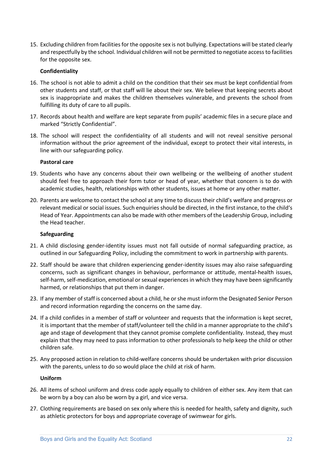15. Excluding children from facilities for the opposite sex is not bullying. Expectations will be stated clearly and respectfully by the school. Individual children will not be permitted to negotiate access to facilities for the opposite sex.

#### **Confidentiality**

- 16. The school is not able to admit a child on the condition that their sex must be kept confidential from other students and staff, or that staff will lie about their sex. We believe that keeping secrets about sex is inappropriate and makes the children themselves vulnerable, and prevents the school from fulfilling its duty of care to all pupils.
- 17. Records about health and welfare are kept separate from pupils' academic files in a secure place and marked "Strictly Confidential".
- 18. The school will respect the confidentiality of all students and will not reveal sensitive personal information without the prior agreement of the individual, except to protect their vital interests, in line with our safeguarding policy.

#### **Pastoral care**

- 19. Students who have any concerns about their own wellbeing or the wellbeing of another student should feel free to approach their form tutor or head of year, whether that concern is to do with academic studies, health, relationships with other students, issues at home or any other matter.
- 20. Parents are welcome to contact the school at any time to discuss their child's welfare and progress or relevant medical or social issues. Such enquiries should be directed, in the first instance, to the child's Head of Year. Appointments can also be made with other members of the Leadership Group, including the Head teacher.

#### **Safeguarding**

- 21. A child disclosing gender-identity issues must not fall outside of normal safeguarding practice, as outlined in our Safeguarding Policy, including the commitment to work in partnership with parents.
- 22. Staff should be aware that children experiencing gender-identity issues may also raise safeguarding concerns, such as significant changes in behaviour, performance or attitude, mental-health issues, self-harm, self-medication, emotional or sexual experiences in which they may have been significantly harmed, or relationships that put them in danger.
- 23. If any member of staff is concerned about a child, he or she must inform the Designated Senior Person and record information regarding the concerns on the same day.
- 24. If a child confides in a member of staff or volunteer and requests that the information is kept secret, it is important that the member of staff/volunteer tell the child in a manner appropriate to the child's age and stage of development that they cannot promise complete confidentiality. Instead, they must explain that they may need to pass information to other professionals to help keep the child or other children safe.
- 25. Any proposed action in relation to child-welfare concerns should be undertaken with prior discussion with the parents, unless to do so would place the child at risk of harm.

#### **Uniform**

- 26. All items of school uniform and dress code apply equally to children of either sex. Any item that can be worn by a boy can also be worn by a girl, and vice versa.
- 27. Clothing requirements are based on sex only where this is needed for health, safety and dignity, such as athletic protectors for boys and appropriate coverage of swimwear for girls.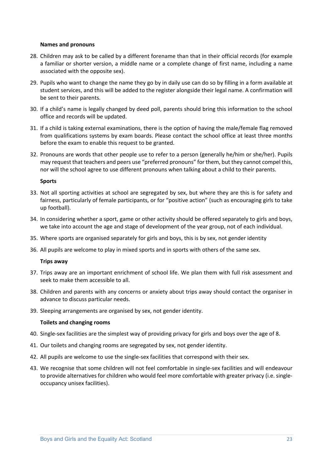#### **Names and pronouns**

- 28. Children may ask to be called by a different forename than that in their official records (for example a familiar or shorter version, a middle name or a complete change of first name, including a name associated with the opposite sex).
- 29. Pupils who want to change the name they go by in daily use can do so by filling in a form available at student services, and this will be added to the register alongside their legal name. A confirmation will be sent to their parents.
- 30. If a child's name is legally changed by deed poll, parents should bring this information to the school office and records will be updated.
- 31. If a child is taking external examinations, there is the option of having the male/female flag removed from qualifications systems by exam boards. Please contact the school office at least three months before the exam to enable this request to be granted.
- 32. Pronouns are words that other people use to refer to a person (generally he/him or she/her). Pupils may request that teachers and peers use "preferred pronouns" for them, but they cannot compel this, nor will the school agree to use different pronouns when talking about a child to their parents.

#### **Sports**

- 33. Not all sporting activities at school are segregated by sex, but where they are this is for safety and fairness, particularly of female participants, or for "positive action" (such as encouraging girls to take up football).
- 34. In considering whether a sport, game or other activity should be offered separately to girls and boys, we take into account the age and stage of development of the year group, not of each individual.
- 35. Where sports are organised separately for girls and boys, this is by sex, not gender identity
- 36. All pupils are welcome to play in mixed sports and in sports with others of the same sex.

#### **Trips away**

- 37. Trips away are an important enrichment of school life. We plan them with full risk assessment and seek to make them accessible to all.
- 38. Children and parents with any concerns or anxiety about trips away should contact the organiser in advance to discuss particular needs.
- 39. Sleeping arrangements are organised by sex, not gender identity.

#### **Toilets and changing rooms**

- 40. Single-sex facilities are the simplest way of providing privacy for girls and boys over the age of 8.
- 41. Our toilets and changing rooms are segregated by sex, not gender identity.
- 42. All pupils are welcome to use the single-sex facilities that correspond with their sex.
- 43. We recognise that some children will not feel comfortable in single-sex facilities and will endeavour to provide alternatives for children who would feel more comfortable with greater privacy (i.e. singleoccupancy unisex facilities).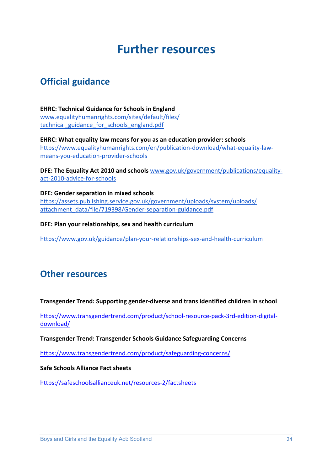## **Further resources**

## **Official guidance**

**EHRC: Technical Guidance for Schools in England** www.equalityhumanrights.com/sites/default/files/ technical guidance for schools england.pdf

**EHRC: What equality law means for you as an education provider: schools**  https://www.equalityhumanrights.com/en/publication-download/what-equality-lawmeans-you-education-provider-schools

**DFE: The Equality Act 2010 and schools** www.gov.uk/government/publications/equalityact-2010-advice-for-schools

**DFE: Gender separation in mixed schools** https://assets.publishing.service.gov.uk/government/uploads/system/uploads/ attachment data/file/719398/Gender-separation-guidance.pdf

**DFE: Plan your relationships, sex and health curriculum**

https://www.gov.uk/guidance/plan-your-relationships-sex-and-health-curriculum

## **Other resources**

#### **Transgender Trend: Supporting gender-diverse and trans identified children in school**

https://www.transgendertrend.com/product/school-resource-pack-3rd-edition-digitaldownload/

**Transgender Trend: Transgender Schools Guidance Safeguarding Concerns**

https://www.transgendertrend.com/product/safeguarding-concerns/

#### **Safe Schools Alliance Fact sheets**

https://safeschoolsallianceuk.net/resources-2/factsheets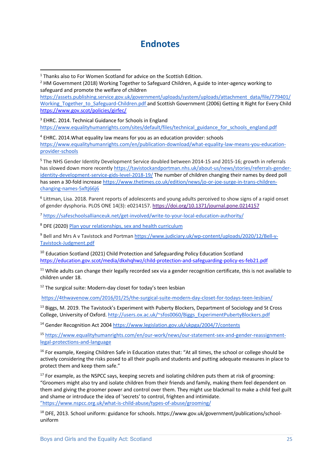## **Endnotes**

<sup>3</sup> EHRC. 2014. Technical Guidance for Schools in England https://www.equalityhumanrights.com/sites/default/files/technical\_guidance\_for\_schools\_england.pdf

<sup>4</sup> EHRC. 2014.What equality law means for you as an education provider: schools https://www.equalityhumanrights.com/en/publication-download/what-equality-law-means-you-educationprovider-schools

<sup>5</sup> The NHS Gender Identity Development Service doubled between 2014-15 and 2015-16; growth in referrals has slowed down more recently https://tavistockandportman.nhs.uk/about-us/news/stories/referrals-genderidentity-development-service-gids-level-2018-19/ The number of children changing their names by deed poll has seen a 30-fold increase https://www.thetimes.co.uk/edition/news/jo-or-joe-surge-in-trans-childrenchanging-names-5xftj66j6

<sup>6</sup> Littman, Lisa. 2018. Parent reports of adolescents and young adults perceived to show signs of a rapid onset of gender dysphoria. PLOS ONE 14(3): e0214157. https://doi.org/10.1371/journal.pone.0214157

<sup>7</sup> https://safeschoolsallianceuk.net/get-involved/write-to-your-local-education-authority/

<sup>8</sup> DFE (2020) Plan your relationships, sex and health curriculum

<sup>9</sup> Bell and Mrs A v Tavistock and Portman https://www.judiciary.uk/wp-content/uploads/2020/12/Bell-v-Tavistock-Judgment.pdf

<sup>10</sup> Education Scotland (2021) Child Protection and Safeguarding Policy Education Scotland https://education.gov.scot/media/dkxhqhwz/child-protection-and-safeguarding-policy-es-feb21.pdf

 $11$  While adults can change their legally recorded sex via a gender recognition certificate, this is not available to children under 18.

<sup>12</sup> The surgical suite: Modern-day closet for today's teen lesbian

https://4thwavenow.com/2016/01/25/the-surgical-suite-modern-day-closet-for-todays-teen-lesbian/

<sup>13</sup> Biggs, M. 2019. The Tavistock's Experiment with Puberty Blockers, Department of Sociology and St Cross College, University of Oxford. http://users.ox.ac.uk/~sfos0060/Biggs\_ExperimentPubertyBlockers.pdf

<sup>14</sup> Gender Recognition Act 2004 https://www.legislation.gov.uk/ukpga/2004/7/contents

<sup>15</sup> https://www.equalityhumanrights.com/en/our-work/news/our-statement-sex-and-gender-reassignmentlegal-protections-and-language

<sup>16</sup> For example, Keeping Children Safe in Education states that: "At all times, the school or college should be actively considering the risks posed to all their pupils and students and putting adequate measures in place to protect them and keep them safe."

 $17$  For example, as the NSPCC says, keeping secrets and isolating children puts them at risk of grooming: "Groomers might also try and isolate children from their friends and family, making them feel dependent on them and giving the groomer power and control over them. They might use blackmail to make a child feel guilt and shame or introduce the idea of 'secrets' to control, frighten and intimidate. "https://www.nspcc.org.uk/what-is-child-abuse/types-of-abuse/grooming/

<sup>18</sup> DFE, 2013. School uniform: guidance for schools. https://www.gov.uk/government/publications/schooluniform

<sup>&</sup>lt;sup>1</sup> Thanks also to For Women Scotland for advice on the Scottish Edition.

<sup>&</sup>lt;sup>2</sup> HM Government (2018) Working Together to Safeguard Children, A guide to inter-agency working to safeguard and promote the welfare of children

https://assets.publishing.service.gov.uk/government/uploads/system/uploads/attachment\_data/file/779401/ Working Together to Safeguard-Children.pdf and Scottish Government (2006) Getting It Right for Every Child https://www.gov.scot/policies/girfec/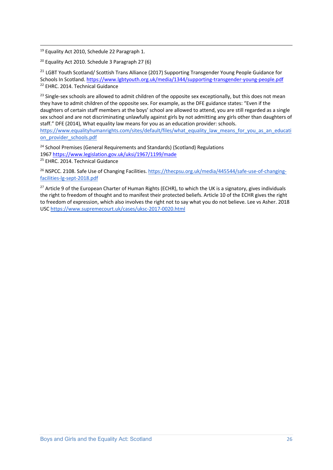<sup>19</sup> Equality Act 2010, Schedule 22 Paragraph 1.

<sup>20</sup> Equality Act 2010. Schedule 3 Paragraph 27 (6)

<sup>21</sup> LGBT Youth Scotland/ Scottish Trans Alliance (2017) Supporting Transgender Young People Guidance for Schools In Scotland. https://www.lgbtyouth.org.uk/media/1344/supporting-transgender-young-people.pdf <sup>22</sup> EHRC. 2014. Technical Guidance

<sup>23</sup> Single-sex schools are allowed to admit children of the opposite sex exceptionally, but this does not mean they have to admit children of the opposite sex. For example, as the DFE guidance states: "Even if the daughters of certain staff members at the boys' school are allowed to attend, you are still regarded as a single sex school and are not discriminating unlawfully against girls by not admitting any girls other than daughters of staff." DFE (2014), What equality law means for you as an education provider: schools. https://www.equalityhumanrights.com/sites/default/files/what\_equality\_law\_means\_for\_you\_as\_an\_educati

on provider schools.pdf

<sup>24</sup> School Premises (General Requirements and Standards) (Scotland) Regulations 1967 https://www.legislation.gov.uk/uksi/1967/1199/made

<sup>25</sup> EHRC. 2014. Technical Guidance

<sup>26</sup> NSPCC. 2108. Safe Use of Changing Facilities. https://thecpsu.org.uk/media/445544/safe-use-of-changingfacilities-lg-sept-2018.pdf

<sup>27</sup> Article 9 of the European Charter of Human Rights (ECHR), to which the UK is a signatory, gives individuals the right to freedom of thought and to manifest their protected beliefs. Article 10 of the ECHR gives the right to freedom of expression, which also involves the right not to say what you do not believe. Lee vs Asher. 2018 USC https://www.supremecourt.uk/cases/uksc-2017-0020.html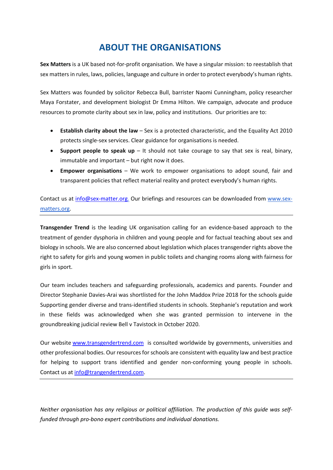## **ABOUT THE ORGANISATIONS**

**Sex Matters** is a UK based not-for-profit organisation. We have a singular mission: to reestablish that sex matters in rules, laws, policies, language and culture in order to protect everybody's human rights.

Sex Matters was founded by solicitor Rebecca Bull, barrister Naomi Cunningham, policy researcher Maya Forstater, and development biologist Dr Emma Hilton. We campaign, advocate and produce resources to promote clarity about sex in law, policy and institutions. Our priorities are to:

- **Establish clarity about the law**  Sex is a protected characteristic, and the Equality Act 2010 protects single-sex services. Clear guidance for organisations is needed.
- **Support people to speak up** It should not take courage to say that sex is real, binary, immutable and important – but right now it does.
- **Empower organisations** We work to empower organisations to adopt sound, fair and transparent policies that reflect material reality and protect everybody's human rights.

Contact us at info@sex-matter.org. Our briefings and resources can be downloaded from www.sexmatters.org.

**Transgender Trend** is the leading UK organisation calling for an evidence-based approach to the treatment of gender dysphoria in children and young people and for factual teaching about sex and biology in schools. We are also concerned about legislation which places transgender rights above the right to safety for girls and young women in public toilets and changing rooms along with fairness for girls in sport.

Our team includes teachers and safeguarding professionals, academics and parents. Founder and Director Stephanie Davies-Arai was shortlisted for the John Maddox Prize 2018 for the schools guide Supporting gender diverse and trans-identified students in schools. Stephanie's reputation and work in these fields was acknowledged when she was granted permission to intervene in the groundbreaking judicial review Bell v Tavistock in October 2020.

Our website www.transgendertrend.com is consulted worldwide by governments, universities and other professional bodies. Our resourcesfor schools are consistent with equality law and best practice for helping to support trans identified and gender non-conforming young people in schools. Contact us at info@trangendertrend.com.

*Neither organisation has any religious or political affiliation. The production of this guide was self funded through pro-bono expert contributions and individual donations.*